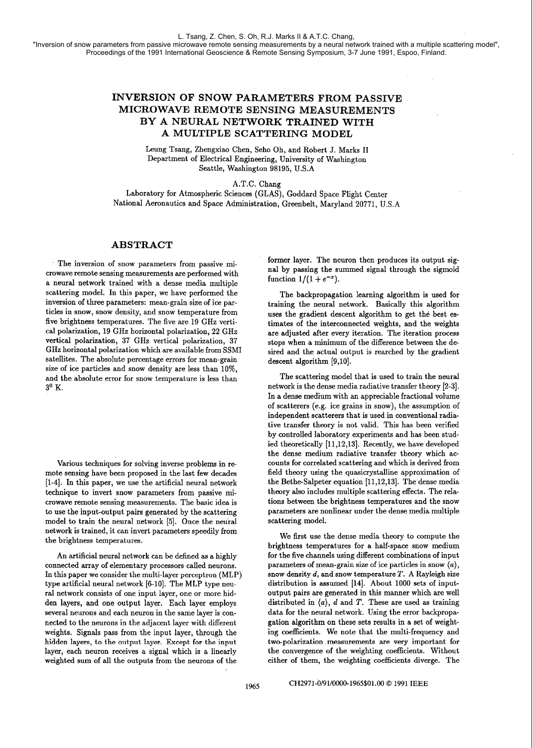"Inversion of snow parameters from passive microwave remote sensing measurements by a neural network trained with a multiple scattering model", Proceedings of the 1991 International Geoscience & Remote Sensing Symposium, 3-7 June 1991, Espoo, Finland.

## **INVERSION OF SNOW PARAMETERS FROM PASSIVE MICROWAVE REMOTE SENSING MEASUREMENTS BY A NEURAL NETWORK TRAINED WITH A MULTIPLE SCATTERING MODEL**

Leung Tsang, Zhengxiao Chen, Seho Oh, and Robert J. Marks I1 Department of Electrical Engineering, University of Washington Seattle, Washington 98195, U.S.A

A.T.C. Chang

Laboratory for Atmospheric Sciences (GLAS), Goddard Space Flight Center National Aeronautics and Space Administration, Greenbelt, Maryland 20771, U.S.A

## **ABSTRACT**

The inversion of snow parameters from passive microwave remote sensing measurements are performed with a neural network trained with a dense media multiple scattering model. In this paper, we have performed the inversion of three parameters: mean-grain size of ice particles in snow, snow density, and snow temperature from five brightness temperatures. The five are 19 GHz vertical polarization, 19 GHz horizontal polarization, 22 GHz vertical polarization, 37 GHz vertical polarization, 37 GHz horizontal polarization which are available from SSMI satellites. The absolute percentage errors for mean-grain size of ice particles and snow density are less than 10%. and the absolute error for snow temperature is less than **3O** K.

Various techniques for solving inverse problems in remote sensing have been proposed in the last few decades [l-41. In this paper, we use the artificial neural network technique to invert snow parameters from passive microwave remote sensing measurements. The basic idea is to use the input-output pairs generated by the scattering model to train the neural network **[5].** Once the neural network is trained, it can invert parameters speedily from the brightness temperatures.

An artificial neural network can be defined as a highly connected array of elementary processors called neurons. In this paper we consider the multi-layer perceptron (MLP) type artificial neural network  $[6-10]$ . The MLP type neural network consists of one input layer, one or more hidden layers, and one output layer. Each layer employs several neurons and each neuron in the same layer is connected to the neurons in the adjacent layer with different weights. Signals pass from the input layer, through the hidden layers, to the output layer. Except for the input layer, each neuron receives a signal which is a linearly weighted sum of all the outputs from the neurons of the

former layer. The neuron then produces its output signal by passing the summed signal through the sigmoid function  $1/(1 + e^{-x})$ .

The backpropagation learning algorithm is used for training the neural network. Basically this algorithm uses the gradient descent algorithm to get the best estimates of the interconnected weights, and the weights are adjusted after every iteration. The iteration process stops when a minimum of the difference between the desired and the actual output is rearched by the gradient descent algorithm [9,10].

The scattering model that is used to train the neural network is the dense media radiative transfer theory [2-31. In a dense medium with an appreciable fractional volume \* of scatterers (e.g. ice grains in snow), the assumption of independent scatterers that is used in conventional radiative transfer theory is not valid. This has been verified by controlled laboratory experiments and has been studied theoretically [11,12,13]. Recently, we have developed the dense medium radiative transfer theory which accounts for correlated scattering and which is derived from field theory using the quasicrystalline approximation of the Bethe-Salpeter equation [11,12,13]. The dense media theory also includes multiple scattering effects. The relations between the brightness temperatures and the snow parameters are nonlinear under the dense media multiple scattering model.

We first use the dense media theory to compute the brightness temperatures for a half-space snow medium for the five channels using different combinations of input parameters of mean-grain size of ice particles in snow *(a),*  snow density d, and snow temperature T. **A** Rayleigh size distribution is assumed [14]. About 1000 sets of inputoutput pairs are generated in this manner which are well distributed in  $\langle a \rangle$ , d and T. These are used as training data for the neural network. Using the error backpropagation algorithm on these sets results in a set of weighting coefficients. We note that the multi-frequency and two-polarization measurements are very important for the convergence of the weighting coefficients. Without either of them, the weighting coefficients diverge. The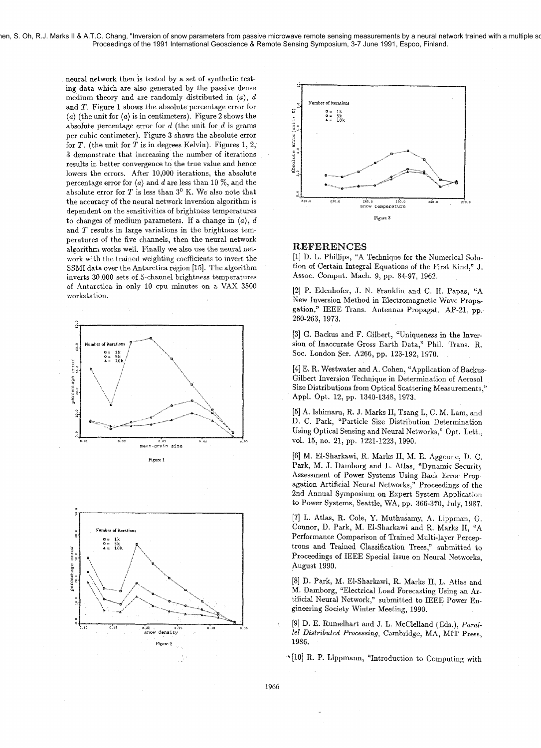nen, S. Oh, R.J. Marks II & A.T.C. Chang, "Inversion of snow parameters from passive microwave remote sensing measurements by a neural network trained with a multiple so Proceedings of the 1991 International Geoscience & Remote Sensing Symposium, 3-7 June 1991, Espoo, Finland.

> neural network then is tested by a set of synthetic testing data which are also generated by the passive dense medium theory and are randomly distributed in  $\langle a \rangle$ , d and T. Figure 1 shows the absolute percentage error for  $\langle a \rangle$  (the unit for  $\langle a \rangle$  is in centimeters). Figure 2 shows the absolute percentage error for  $d$  (the unit for  $d$  is grams per cubic centimeter). Figure 3 shows the absolute error for T. (the unit for *T* is in degrees Kelvin). Figures 1, 2, 3 demonstrate that increasing the number of iterations results in better convergence to the true value and hence lowers the errors. After 10,000 iterations, the absolute percentage error for  $\langle a \rangle$  and d are less than 10 %, and the absolute error for T is less than **3O** K. We also note that the accuracy of the neural network inversion algorithm is dependent on the sensitivities of brightness temperatures to changes of medium parameters. If a change in  $\langle a \rangle$ , d and  $T$  results in large variations in the brightness temperatures of the five channels, then the neural network algorithm works well. Finally we also use the neural network with the trained weighting coefficients to invert the SSMI data over the Antarctica region [15]. The algorithm inverts 30,000 sets of 5-channel brightness temperatures of Antarctica in only 10 cpu minutes on a VAX 3500 workstation.







## REFERENCES

[I] D. L. Phillips, "A Technique for the Numerical Solution of Certain Integral Equations of the First Kind," J. Assoc. Comput. Mach. 9, pp. 84-97, 1962.

[2] P. Edenhofer, J. N. Franklin and C. H. Papas, "A New Inversion Method in Electromagnetic Wave Propagation," IEEE Trans. Antennas Propagat. AP-21, pp. 260-263, 1973.

[3] *6.* Backus and F. Gilbert, "Uniqueness in the Inversion of Inaccurate Gross Earth Data," Phil. Trans. R. Soc. London Ser. A266, pp. 123-192, 1970.

[4] E. R. Westwater and A. Cohen, 'Application of Backus-Gilbert Inversion Technique in Determination of Aerosol Size Distributions from Optical Scattering Measurements," Appl. Opt. 12, pp. 1340-1348, 1973.

[5] **A.** Ishimaru, R. J. Marks 11, Tsang L, C. M. Lam, and D. C. Park, "Particle Size Distribution Determination Using Optical Sensing and Neural Networks," Opt. Lett., vol. 15, no. 21, pp. 1221-1223, 1990.

[6] M. El-Sharkawi, R. Marks 11, M. E. Aggoune, D. C. Park, M. J. Damborg and L. Atlas, "Dynamic Security Assessment of Power Systems Using Back Error Prop agation Artificial Neural Networks," Proceedings of the 2nd Annual Symposium on Expert System Application to Power Systems, Seattle, WA, pp. 366-370, July, 1987.

[7] L. Atlas, R. Cole, Y. Muthusamy, A. Lippman, G. Connor, D. Park, M. El-Sharkawi and R. Marks 11, "A Performance Comparison of Trained Multi-layer Perceptrons and Trained Classification Trees," submitted to Proceedings of IEEE Special Issue on Neural Networks, August 1990.

[8] **13.** Park, M. El-Sharkawi, R. Marks 11, L. Atlas and M. Damborg, 'Electrical Load Forecasting Using an Artificial Neural Network," submitted to IEEE Power Engineering Society Winter Meeting, 1990.

\ [9] D. E. Rumelhart and J. L. McClelland (Eds.), *Parallel Distributed* Processing, Cambridge, *MA,* MIT Press, 1986.

[lo] R. P. Lippmann, 'LIntroduction to Computing with

1966